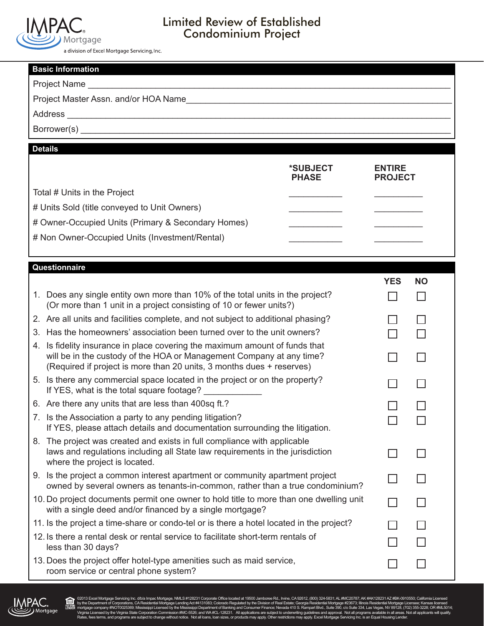

## Limited Review of Established Condominium Project

a division of Excel Mortgage Servicing, Inc.

| <b>Basic Information</b> |                                                                                                                                                                                                                           |                |           |  |  |
|--------------------------|---------------------------------------------------------------------------------------------------------------------------------------------------------------------------------------------------------------------------|----------------|-----------|--|--|
|                          |                                                                                                                                                                                                                           |                |           |  |  |
|                          |                                                                                                                                                                                                                           |                |           |  |  |
|                          |                                                                                                                                                                                                                           |                |           |  |  |
|                          |                                                                                                                                                                                                                           |                |           |  |  |
|                          | <b>Details</b>                                                                                                                                                                                                            |                |           |  |  |
|                          | *SUBJECT                                                                                                                                                                                                                  | <b>ENTIRE</b>  |           |  |  |
|                          | <b>PHASE</b>                                                                                                                                                                                                              | <b>PROJECT</b> |           |  |  |
|                          | Total # Units in the Project                                                                                                                                                                                              |                |           |  |  |
|                          | # Units Sold (title conveyed to Unit Owners)                                                                                                                                                                              |                |           |  |  |
|                          | # Owner-Occupied Units (Primary & Secondary Homes)                                                                                                                                                                        |                |           |  |  |
|                          | # Non Owner-Occupied Units (Investment/Rental)                                                                                                                                                                            |                |           |  |  |
|                          |                                                                                                                                                                                                                           |                |           |  |  |
|                          | Questionnaire                                                                                                                                                                                                             |                |           |  |  |
|                          |                                                                                                                                                                                                                           | <b>YES</b>     | <b>NO</b> |  |  |
|                          | 1. Does any single entity own more than 10% of the total units in the project?<br>(Or more than 1 unit in a project consisting of 10 or fewer units?)                                                                     |                |           |  |  |
|                          | 2. Are all units and facilities complete, and not subject to additional phasing?                                                                                                                                          |                |           |  |  |
| 3.                       | Has the homeowners' association been turned over to the unit owners?                                                                                                                                                      |                |           |  |  |
| 4.                       | Is fidelity insurance in place covering the maximum amount of funds that<br>will be in the custody of the HOA or Management Company at any time?<br>(Required if project is more than 20 units, 3 months dues + reserves) |                |           |  |  |
|                          | 5. Is there any commercial space located in the project or on the property?<br>If YES, what is the total square footage? _____________                                                                                    |                |           |  |  |
|                          | 6. Are there any units that are less than 400sq ft.?                                                                                                                                                                      |                |           |  |  |
|                          | 7. Is the Association a party to any pending litigation?<br>If YES, please attach details and documentation surrounding the litigation.                                                                                   |                |           |  |  |
|                          | 8. The project was created and exists in full compliance with applicable<br>laws and regulations including all State law requirements in the jurisdiction<br>where the project is located.                                |                |           |  |  |
|                          | 9. Is the project a common interest apartment or community apartment project<br>owned by several owners as tenants-in-common, rather than a true condominium?                                                             |                |           |  |  |
|                          | 10. Do project documents permit one owner to hold title to more than one dwelling unit<br>with a single deed and/or financed by a single mortgage?                                                                        |                |           |  |  |
|                          | 11. Is the project a time-share or condo-tel or is there a hotel located in the project?                                                                                                                                  |                |           |  |  |
|                          | 12. Is there a rental desk or rental service to facilitate short-term rentals of<br>less than 30 days?                                                                                                                    |                |           |  |  |
|                          | 13. Does the project offer hotel-type amenities such as maid service,<br>room service or central phone system?                                                                                                            |                |           |  |  |



白

@2013 Excel Mortgage Servicing Inc. divia Impac Mortgage, NMLS #128231 Conporate Office located at 19500 Jambone Rd., Invine, CA 92612, (800) 324-5831; AK #AK1282316, WHAT282317, MHz Department of Corporations, CARIFORD, C